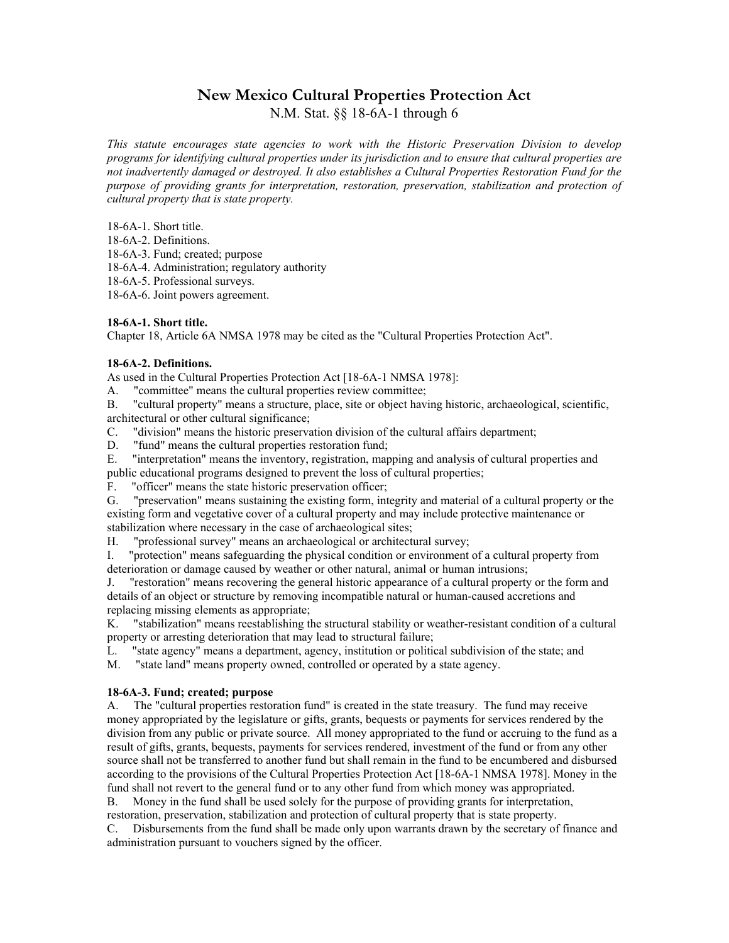# **New Mexico Cultural Properties Protection Act**

N.M. Stat. §§ 18-6A-1 through 6

*This statute encourages state agencies to work with the Historic Preservation Division to develop programs for identifying cultural properties under its jurisdiction and to ensure that cultural properties are not inadvertently damaged or destroyed. It also establishes a Cultural Properties Restoration Fund for the purpose of providing grants for interpretation, restoration, preservation, stabilization and protection of cultural property that is state property.* 

18-6A-1. Short title.

18-6A-2. Definitions.

18-6A-3. Fund; created; purpose

18-6A-4. Administration; regulatory authority

18-6A-5. Professional surveys.

18-6A-6. Joint powers agreement.

## **18-6A-1. Short title.**

Chapter 18, Article 6A NMSA 1978 may be cited as the "Cultural Properties Protection Act".

## **18-6A-2. Definitions.**

As used in the Cultural Properties Protection Act [18-6A-1 NMSA 1978]:

A. "committee" means the cultural properties review committee;

B. "cultural property" means a structure, place, site or object having historic, archaeological, scientific, architectural or other cultural significance;

C. "division" means the historic preservation division of the cultural affairs department;

D. "fund" means the cultural properties restoration fund;

E. "interpretation" means the inventory, registration, mapping and analysis of cultural properties and public educational programs designed to prevent the loss of cultural properties;

F. "officer" means the state historic preservation officer;

G. "preservation" means sustaining the existing form, integrity and material of a cultural property or the existing form and vegetative cover of a cultural property and may include protective maintenance or stabilization where necessary in the case of archaeological sites;

H. "professional survey" means an archaeological or architectural survey;

I. "protection" means safeguarding the physical condition or environment of a cultural property from deterioration or damage caused by weather or other natural, animal or human intrusions;

J. "restoration" means recovering the general historic appearance of a cultural property or the form and details of an object or structure by removing incompatible natural or human-caused accretions and replacing missing elements as appropriate;

K. "stabilization" means reestablishing the structural stability or weather-resistant condition of a cultural property or arresting deterioration that may lead to structural failure;

L. "state agency" means a department, agency, institution or political subdivision of the state; and

M. "state land" means property owned, controlled or operated by a state agency.

## **18-6A-3. Fund; created; purpose**

A. The "cultural properties restoration fund" is created in the state treasury. The fund may receive money appropriated by the legislature or gifts, grants, bequests or payments for services rendered by the division from any public or private source. All money appropriated to the fund or accruing to the fund as a result of gifts, grants, bequests, payments for services rendered, investment of the fund or from any other source shall not be transferred to another fund but shall remain in the fund to be encumbered and disbursed according to the provisions of the Cultural Properties Protection Act [18-6A-1 NMSA 1978]. Money in the fund shall not revert to the general fund or to any other fund from which money was appropriated.

B. Money in the fund shall be used solely for the purpose of providing grants for interpretation, restoration, preservation, stabilization and protection of cultural property that is state property.

C. Disbursements from the fund shall be made only upon warrants drawn by the secretary of finance and administration pursuant to vouchers signed by the officer.